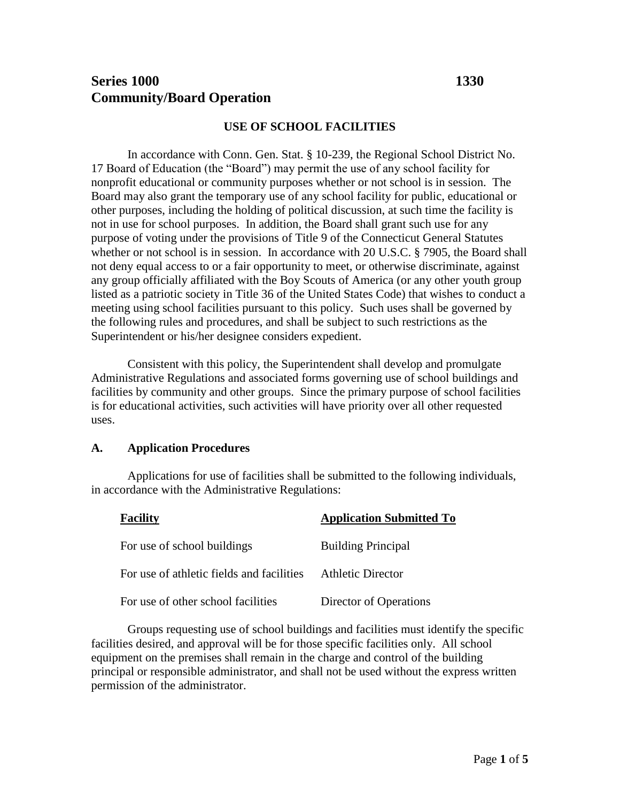# **Series 1000 1330 Community/Board Operation**

## **USE OF SCHOOL FACILITIES**

In accordance with Conn. Gen. Stat. § 10-239, the Regional School District No. 17 Board of Education (the "Board") may permit the use of any school facility for nonprofit educational or community purposes whether or not school is in session. The Board may also grant the temporary use of any school facility for public, educational or other purposes, including the holding of political discussion, at such time the facility is not in use for school purposes. In addition, the Board shall grant such use for any purpose of voting under the provisions of Title 9 of the Connecticut General Statutes whether or not school is in session. In accordance with 20 U.S.C. § 7905, the Board shall not deny equal access to or a fair opportunity to meet, or otherwise discriminate, against any group officially affiliated with the Boy Scouts of America (or any other youth group listed as a patriotic society in Title 36 of the United States Code) that wishes to conduct a meeting using school facilities pursuant to this policy. Such uses shall be governed by the following rules and procedures, and shall be subject to such restrictions as the Superintendent or his/her designee considers expedient.

Consistent with this policy, the Superintendent shall develop and promulgate Administrative Regulations and associated forms governing use of school buildings and facilities by community and other groups. Since the primary purpose of school facilities is for educational activities, such activities will have priority over all other requested uses.

#### **A. Application Procedures**

Applications for use of facilities shall be submitted to the following individuals, in accordance with the Administrative Regulations:

| <b>Facility</b>                           | <b>Application Submitted To</b> |
|-------------------------------------------|---------------------------------|
| For use of school buildings               | <b>Building Principal</b>       |
| For use of athletic fields and facilities | <b>Athletic Director</b>        |
| For use of other school facilities        | Director of Operations          |

Groups requesting use of school buildings and facilities must identify the specific facilities desired, and approval will be for those specific facilities only. All school equipment on the premises shall remain in the charge and control of the building principal or responsible administrator, and shall not be used without the express written permission of the administrator.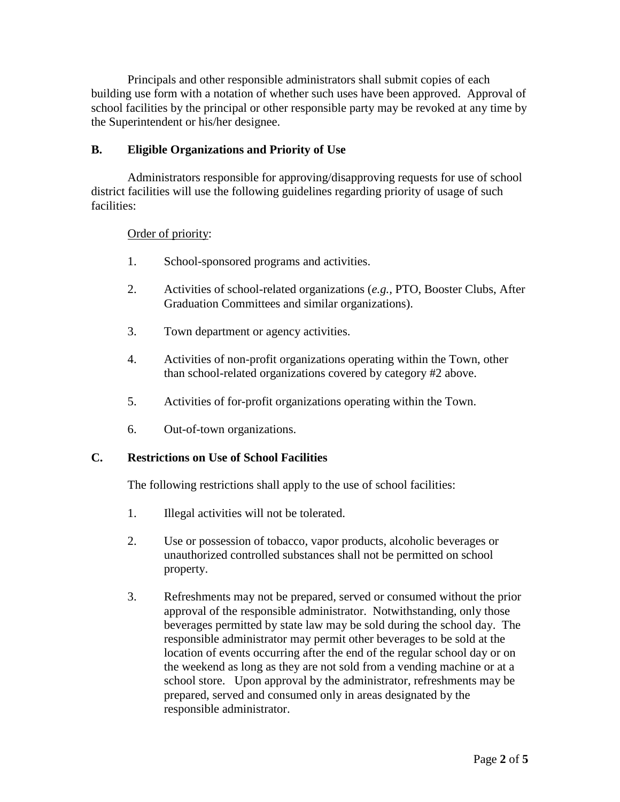Principals and other responsible administrators shall submit copies of each building use form with a notation of whether such uses have been approved. Approval of school facilities by the principal or other responsible party may be revoked at any time by the Superintendent or his/her designee.

# **B. Eligible Organizations and Priority of Use**

Administrators responsible for approving/disapproving requests for use of school district facilities will use the following guidelines regarding priority of usage of such facilities:

## Order of priority:

- 1. School-sponsored programs and activities.
- 2. Activities of school-related organizations (*e.g.,* PTO, Booster Clubs, After Graduation Committees and similar organizations).
- 3. Town department or agency activities.
- 4. Activities of non-profit organizations operating within the Town, other than school-related organizations covered by category #2 above.
- 5. Activities of for-profit organizations operating within the Town.
- 6. Out-of-town organizations.

## **C. Restrictions on Use of School Facilities**

The following restrictions shall apply to the use of school facilities:

- 1. Illegal activities will not be tolerated.
- 2. Use or possession of tobacco, vapor products, alcoholic beverages or unauthorized controlled substances shall not be permitted on school property.
- 3. Refreshments may not be prepared, served or consumed without the prior approval of the responsible administrator. Notwithstanding, only those beverages permitted by state law may be sold during the school day. The responsible administrator may permit other beverages to be sold at the location of events occurring after the end of the regular school day or on the weekend as long as they are not sold from a vending machine or at a school store. Upon approval by the administrator, refreshments may be prepared, served and consumed only in areas designated by the responsible administrator.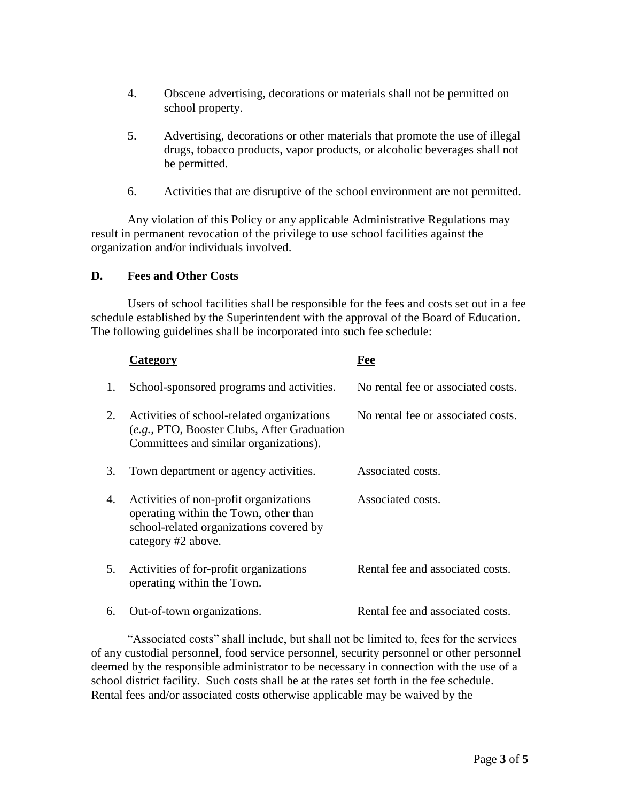- 4. Obscene advertising, decorations or materials shall not be permitted on school property.
- 5. Advertising, decorations or other materials that promote the use of illegal drugs, tobacco products, vapor products, or alcoholic beverages shall not be permitted.
- 6. Activities that are disruptive of the school environment are not permitted.

Any violation of this Policy or any applicable Administrative Regulations may result in permanent revocation of the privilege to use school facilities against the organization and/or individuals involved.

#### **D. Fees and Other Costs**

Users of school facilities shall be responsible for the fees and costs set out in a fee schedule established by the Superintendent with the approval of the Board of Education. The following guidelines shall be incorporated into such fee schedule:

|    | Category                                                                                                                                         | Fee                                |
|----|--------------------------------------------------------------------------------------------------------------------------------------------------|------------------------------------|
| 1. | School-sponsored programs and activities.                                                                                                        | No rental fee or associated costs. |
| 2. | Activities of school-related organizations<br>(e.g., PTO, Booster Clubs, After Graduation<br>Committees and similar organizations).              | No rental fee or associated costs. |
| 3. | Town department or agency activities.                                                                                                            | Associated costs.                  |
| 4. | Activities of non-profit organizations<br>operating within the Town, other than<br>school-related organizations covered by<br>category #2 above. | Associated costs.                  |
| 5. | Activities of for-profit organizations<br>operating within the Town.                                                                             | Rental fee and associated costs.   |
| 6. | Out-of-town organizations.                                                                                                                       | Rental fee and associated costs.   |

"Associated costs" shall include, but shall not be limited to, fees for the services of any custodial personnel, food service personnel, security personnel or other personnel deemed by the responsible administrator to be necessary in connection with the use of a school district facility. Such costs shall be at the rates set forth in the fee schedule. Rental fees and/or associated costs otherwise applicable may be waived by the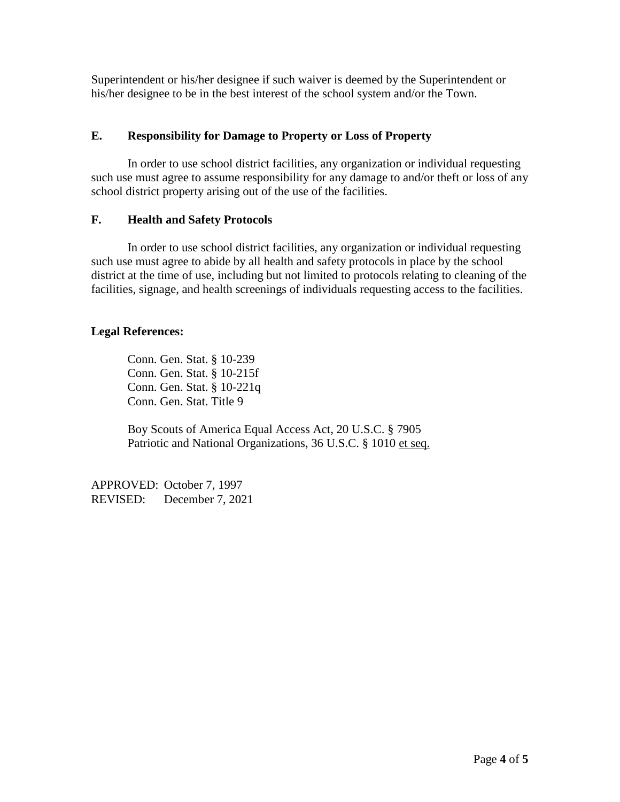Superintendent or his/her designee if such waiver is deemed by the Superintendent or his/her designee to be in the best interest of the school system and/or the Town.

# **E. Responsibility for Damage to Property or Loss of Property**

In order to use school district facilities, any organization or individual requesting such use must agree to assume responsibility for any damage to and/or theft or loss of any school district property arising out of the use of the facilities.

## **F. Health and Safety Protocols**

In order to use school district facilities, any organization or individual requesting such use must agree to abide by all health and safety protocols in place by the school district at the time of use, including but not limited to protocols relating to cleaning of the facilities, signage, and health screenings of individuals requesting access to the facilities.

## **Legal References:**

Conn. Gen. Stat. § 10-239 Conn. Gen. Stat. § 10-215f Conn. Gen. Stat. § 10-221q Conn. Gen. Stat. Title 9

Boy Scouts of America Equal Access Act, 20 U.S.C. § 7905 Patriotic and National Organizations, 36 U.S.C. § 1010 et seq.

APPROVED: October 7, 1997 REVISED: December 7, 2021